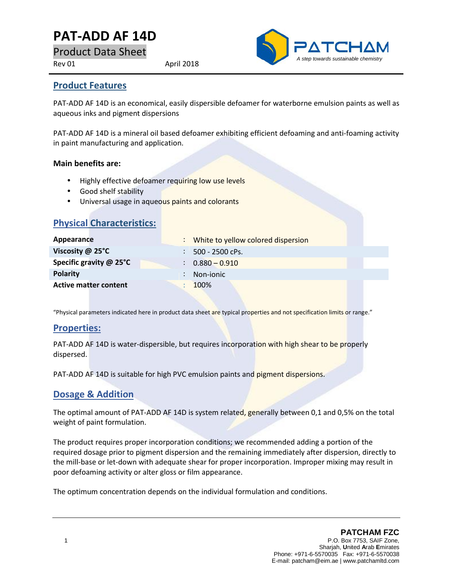# **PAT-ADD AF14D**

Product Data Sheet

Rev 01 April 2018



#### **Product Features**

PAT-ADD AF 14D is an economical, easily dispersible defoamer for waterborne emulsion paints as well as aqueous inks and pigment dispersions

PAT-ADD AF 14D is a mineral oil based defoamer exhibiting efficient defoaming and anti-foaming activity in paint manufacturing and application.

#### **Main benefits are:**

- Highly effective defoamer requiring low use levels
- Good shelf stability
- Universal usage in aqueous paints and colorants

| <b>Physical Characteristics:</b> |    |                                    |
|----------------------------------|----|------------------------------------|
| Appearance                       | t. | White to yellow colored dispersion |
| Viscosity @ 25°C                 |    | 500 - 2500 cPs.                    |
| Specific gravity @ 25°C          |    | $: 0.880 - 0.910$                  |
| <b>Polarity</b>                  |    | Non-jonic                          |
| <b>Active matter content</b>     |    | 100%                               |

"Physical parameters indicated here in product data sheet are typical properties and not specification limits or range."

#### **Properties:**

PAT-ADD AF 14D is water-dispersible, but requires incorporation with high shear to be properly dispersed.

PAT-ADD AF 14D is suitable for high PVC emulsion paints and pigment dispersions.

#### **Dosage & Addition**

The optimal amount of PAT-ADD AF 14D is system related, generally between 0,1 and 0,5% on the total weight of paint formulation.

The product requires proper incorporation conditions; we recommended adding a portion of the required dosage prior to pigment dispersion and the remaining immediately after dispersion, directly to the mill-base or let-down with adequate shear for proper incorporation. Improper mixing may result in poor defoaming activity or alter gloss or film appearance.

The optimum concentration depends on the individual formulation and conditions.